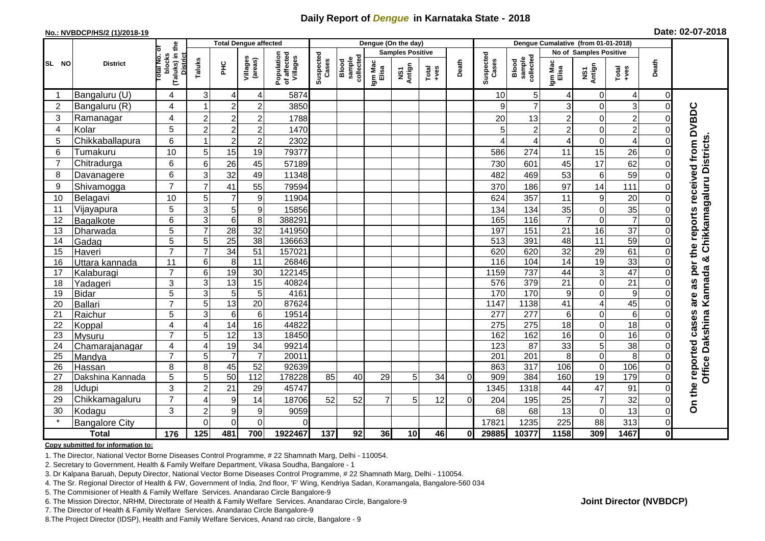## **Daily Report of** *Dengue* **in Karnataka State - 2018**

#### **No.: NVBDCP/HS/2 (1)/2018-19**

|                | <b>District</b>       | the                                             |                     | <b>Total Dengue affected</b> |                           |                                       |                    |                              |                  | Dengue (On the day)               |                  |          |                    |                                     |                  |                        |                  |                |                                     |
|----------------|-----------------------|-------------------------------------------------|---------------------|------------------------------|---------------------------|---------------------------------------|--------------------|------------------------------|------------------|-----------------------------------|------------------|----------|--------------------|-------------------------------------|------------------|------------------------|------------------|----------------|-------------------------------------|
|                |                       | ō                                               |                     |                              |                           |                                       |                    |                              |                  | <b>Samples Positive</b>           |                  |          |                    |                                     |                  | No of Samples Positive |                  |                |                                     |
| SL NO          |                       | (Taluks) in t<br>District<br>blocks<br>otal No. | Taluks              | Ξ                            | Villages<br>(areas)       | Population<br>of affected<br>Villages | Suspected<br>Cases | Blood<br>sample<br>collected | Igm Mac<br>Elisa | Antign<br>$\overline{\mathbf{s}}$ | $Tota$<br>$+ves$ | Death    | Suspected<br>Cases | collected<br><b>Blood</b><br>sample | Igm Mac<br>Elisa | NS1<br>Antign          | $Tota$<br>$+ves$ | Death          |                                     |
|                | Bangaluru (U)         | 4                                               | 3                   | 4                            | 4                         | 5874                                  |                    |                              |                  |                                   |                  |          | 10                 | 5 <sub>5</sub>                      | 4                | 0                      | 4                | $\Omega$       |                                     |
| $\overline{2}$ | Bangaluru (R)         | $\overline{4}$                                  |                     | $\overline{2}$               | $\overline{c}$            | 3850                                  |                    |                              |                  |                                   |                  |          | 9                  | $\overline{7}$                      | 3                | 0                      | 3                | $\Omega$       |                                     |
| 3              | Ramanagar             | 4                                               | $\overline{c}$      | $\overline{c}$               | $\overline{c}$            | 1788                                  |                    |                              |                  |                                   |                  |          | 20                 | 13                                  | $\overline{c}$   | 0                      | $\overline{c}$   |                | per the reports received from DVBDC |
| 4              | Kolar                 | 5                                               | $\overline{c}$      | $\overline{2}$               | $\overline{2}$            | 1470                                  |                    |                              |                  |                                   |                  |          | 5                  | $\overline{c}$                      | $\overline{2}$   | $\mathbf 0$            | $\overline{2}$   | 0              |                                     |
| 5              | Chikkaballapura       | 6                                               |                     | $\overline{c}$               | $\mathbf{2}^{\mathsf{I}}$ | 2302                                  |                    |                              |                  |                                   |                  |          |                    | 4                                   | 4                | $\mathbf 0$            | 4                | $\Omega$       |                                     |
| 6              | Tumakuru              | 10                                              | 5                   | 15                           | 19                        | 79377                                 |                    |                              |                  |                                   |                  |          | 586                | 274                                 | 11               | 15                     | 26               | $\Omega$       |                                     |
| $\overline{7}$ | Chitradurga           | 6                                               | 6                   | 26                           | 45                        | 57189                                 |                    |                              |                  |                                   |                  |          | 730                | 601                                 | 45               | 17                     | 62               | $\Omega$       | Chikkamagaluru Districts            |
| 8              | Davanagere            | $6\phantom{1}$                                  | 3                   | 32                           | 49                        | 11348                                 |                    |                              |                  |                                   |                  |          | 482                | 469                                 | 53               | 6                      | 59               | $\Omega$       |                                     |
| 9              | Shivamogga            | $\overline{7}$                                  | $\overline{7}$      | 41                           | 55                        | 79594                                 |                    |                              |                  |                                   |                  |          | 370                | 186                                 | 97               | 14                     | 111              | $\Omega$       |                                     |
| 10             | Belagavi              | 10                                              | 5                   | $\overline{7}$               | 9                         | 11904                                 |                    |                              |                  |                                   |                  |          | 624                | 357                                 | 11               | 9                      | 20               | 0              |                                     |
| 11             | Vijayapura            | 5                                               | 3                   | 5                            | $\boldsymbol{9}$          | 15856                                 |                    |                              |                  |                                   |                  |          | 134                | 134                                 | 35               | $\mathbf 0$            | 35               | $\Omega$       |                                     |
| 12             | Bagalkote             | 6                                               | $\overline{3}$      | $\overline{6}$               | $\overline{8}$            | 388291                                |                    |                              |                  |                                   |                  |          | 165                | 116                                 | $\overline{7}$   | $\overline{0}$         | $\overline{7}$   | $\Omega$       |                                     |
| 13             | Dharwada              | 5                                               | $\overline{7}$      | 28                           | $\overline{32}$           | 141950                                |                    |                              |                  |                                   |                  |          | 197                | 151                                 | 21               | 16                     | $\overline{37}$  | 0              |                                     |
| 14             | Gadag                 | 5                                               | 5                   | $\overline{25}$              | $\overline{38}$           | 136663                                |                    |                              |                  |                                   |                  |          | 513                | 391                                 | 48               | $\overline{11}$        | 59               | $\Omega$       |                                     |
| 15             | Haveri                | $\overline{7}$                                  | $\overline{7}$      | 34                           | 51                        | 157021                                |                    |                              |                  |                                   |                  |          | 620                | 620                                 | $\overline{32}$  | 29                     | 61               | $\Omega$       |                                     |
| 16             | Uttara kannada        | 11                                              | 6                   | 8                            | 11                        | 26846                                 |                    |                              |                  |                                   |                  |          | 116                | 104                                 | 14               | 19                     | 33               | 0              | ×                                   |
| 17             | Kalaburagi            | $\overline{7}$                                  | 6                   | 19                           | 30                        | 122145                                |                    |                              |                  |                                   |                  |          | 1159               | 737                                 | 44               | 3                      | 47               | 0              |                                     |
| 18             | Yadageri              | 3                                               | 3                   | $\overline{13}$              | $\overline{15}$           | 40824                                 |                    |                              |                  |                                   |                  |          | 576                | 379                                 | $\overline{21}$  | $\mathbf 0$            | $\overline{21}$  | $\Omega$       | 8g                                  |
| 19             | <b>Bidar</b>          | 5<br>$\overline{7}$                             | $\overline{3}$<br>5 | 5<br>$\overline{13}$         | $\sqrt{5}$<br>20          | 4161<br>87624                         |                    |                              |                  |                                   |                  |          | 170<br>1147        | 170<br>1138                         | 9<br>41          | $\mathbf 0$<br>4       | 9<br>45          | 0              | are                                 |
| 20<br>21       | Ballari<br>Raichur    | 5                                               | $\overline{3}$      | $6\phantom{1}6$              | $\,6\,$                   | 19514                                 |                    |                              |                  |                                   |                  |          | 277                | $\overline{277}$                    | 6                | $\mathbf 0$            | 6                | $\Omega$       |                                     |
| 22             | Koppal                | $\overline{4}$                                  | $\overline{4}$      | 14                           | 16                        | 44822                                 |                    |                              |                  |                                   |                  |          | 275                | 275                                 | 18               | $\mathsf 0$            | 18               | $\Omega$       |                                     |
| 23             | Mysuru                | $\overline{7}$                                  | 5                   | 12                           | 13                        | 18450                                 |                    |                              |                  |                                   |                  |          | 162                | 162                                 | 16               | $\mathbf 0$            | 16               | $\Omega$       |                                     |
| 24             | Chamarajanagar        | 4                                               | $\overline{4}$      | 19                           | $\overline{34}$           | 99214                                 |                    |                              |                  |                                   |                  |          | 123                | 87                                  | 33               | $\overline{5}$         | 38               | $\Omega$       |                                     |
| 25             | Mandya                | $\overline{7}$                                  | $\sqrt{5}$          | $\overline{7}$               | $\overline{7}$            | 20011                                 |                    |                              |                  |                                   |                  |          | 201                | 201                                 | 8                | $\mathbf 0$            | 8                | 0              |                                     |
| 26             | Hassan                | 8                                               | 8                   | 45                           | 52                        | 92639                                 |                    |                              |                  |                                   |                  |          | 863                | 317                                 | 106              | $\mathbf 0$            | 106              | $\mathbf 0$    | Office Dakshina Kannada             |
| 27             | Dakshina Kannada      | 5                                               | $\overline{5}$      | 50                           | $\frac{11}{2}$            | 178228                                | 85                 | 40                           | 29               | 5                                 | 34               | $\Omega$ | 909                | 384                                 | 160              | 19                     | 179              | $\overline{0}$ |                                     |
| 28             | Udupi                 | 3                                               | $\overline{c}$      | 21                           | 29                        | 45747                                 |                    |                              |                  |                                   |                  |          | 1345               | 1318                                | 44               | 47                     | 91               | $\Omega$       |                                     |
| 29             | Chikkamagaluru        | $\overline{7}$                                  | 4                   | $\boldsymbol{9}$             | 14                        | 18706                                 | 52                 | 52                           | 7                | 5                                 | 12               | $\Omega$ | 204                | 195                                 | 25               | $\overline{7}$         | 32               | 0              | On the reported cases               |
| 30             | Kodagu                | 3                                               | $\overline{2}$      | 9                            | $\boldsymbol{9}$          | 9059                                  |                    |                              |                  |                                   |                  |          | 68                 | 68                                  | 13               | $\mathbf 0$            | 13               | $\Omega$       |                                     |
|                | <b>Bangalore City</b> |                                                 | $\Omega$            | $\mathbf 0$                  | $\mathbf 0$               | $\Omega$                              |                    |                              |                  |                                   |                  |          | 1782               | 1235                                | 225              | 88                     | 313              | $\mathbf 0$    |                                     |
| <b>Total</b>   |                       | 176                                             | 125                 | 481                          | 700                       | 1922467                               | 137                | 92                           | 36               | 10 <sup>1</sup>                   | 46               | 01       | 29885              | 10377                               | 1158             | 309                    | 1467             | $\mathbf{0}$   |                                     |

#### **Copy submitted for information to:**

1. The Director, National Vector Borne Diseases Control Programme, # 22 Shamnath Marg, Delhi - 110054.

2. Secretary to Government, Health & Family Welfare Department, Vikasa Soudha, Bangalore - 1

3. Dr Kalpana Baruah, Deputy Director, National Vector Borne Diseases Control Programme, # 22 Shamnath Marg, Delhi - 110054.

4. The Sr. Regional Director of Health & FW, Government of India, 2nd floor, 'F' Wing, Kendriya Sadan, Koramangala, Bangalore-560 034

5. The Commisioner of Health & Family Welfare Services. Anandarao Circle Bangalore-9

6. The Mission Director, NRHM, Directorate of Health & Family Welfare Services. Anandarao Circle, Bangalore-9

7. The Director of Health & Family Welfare Services. Anandarao Circle Bangalore-9

8.The Project Director (IDSP), Health and Family Welfare Services, Anand rao circle, Bangalore - 9